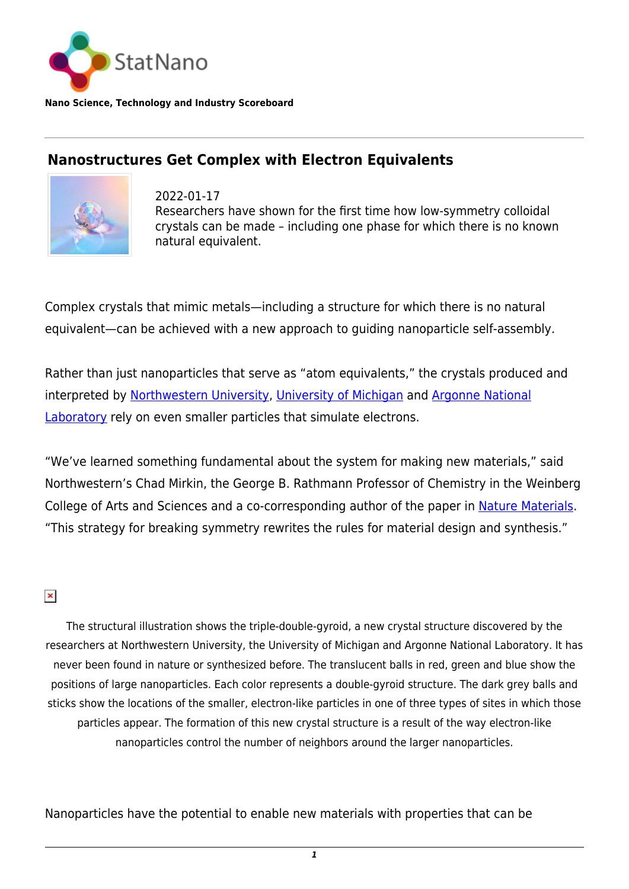

**Nano Science, Technology and Industry Scoreboard**

## **Nanostructures Get Complex with Electron Equivalents**



2022-01-17 Researchers have shown for the first time how low-symmetry colloidal crystals can be made – including one phase for which there is no known natural equivalent.

Complex crystals that mimic metals—including a structure for which there is no natural equivalent—can be achieved with a new approach to guiding nanoparticle self-assembly.

Rather than just nanoparticles that serve as "atom equivalents," the crystals produced and interpreted by [Northwestern University,](https://statnano.com/org/Northwestern-University) [University of Michigan](https://statnano.com/org/University-of-Michigan) and [Argonne National](https://statnano.com/org/Argonne-National-Laboratory) [Laboratory](https://statnano.com/org/Argonne-National-Laboratory) rely on even smaller particles that simulate electrons.

"We've learned something fundamental about the system for making new materials," said Northwestern's Chad Mirkin, the George B. Rathmann Professor of Chemistry in the Weinberg College of Arts and Sciences and a co-corresponding author of the paper in [Nature Materials.](https://www.nature.com/articles/s41563-021-01170-5) "This strategy for breaking symmetry rewrites the rules for material design and synthesis."

 $\pmb{\times}$ 

The structural illustration shows the triple-double-gyroid, a new crystal structure discovered by the researchers at Northwestern University, the University of Michigan and Argonne National Laboratory. It has never been found in nature or synthesized before. The translucent balls in red, green and blue show the positions of large nanoparticles. Each color represents a double-gyroid structure. The dark grey balls and sticks show the locations of the smaller, electron-like particles in one of three types of sites in which those particles appear. The formation of this new crystal structure is a result of the way electron-like nanoparticles control the number of neighbors around the larger nanoparticles.

Nanoparticles have the potential to enable new materials with properties that can be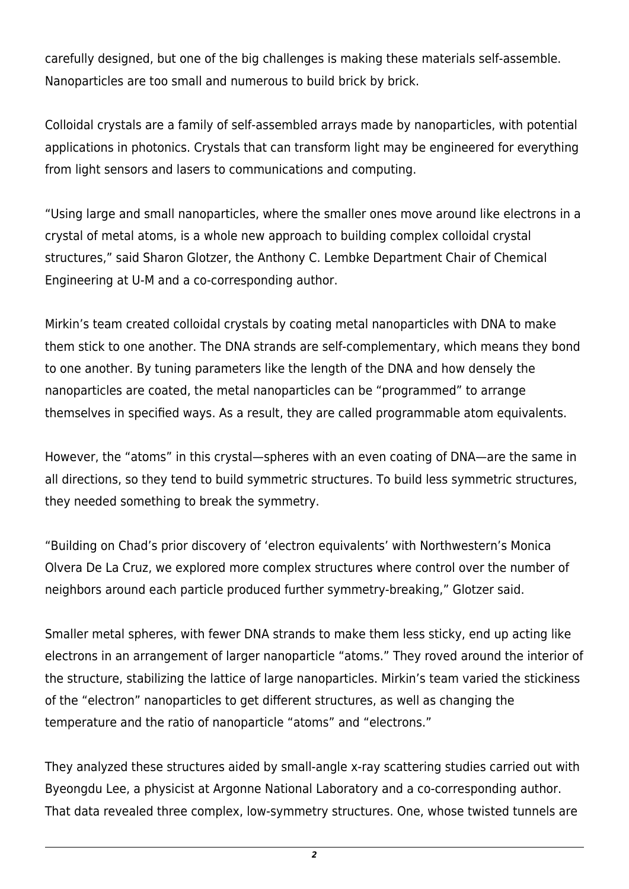carefully designed, but one of the big challenges is making these materials self-assemble. Nanoparticles are too small and numerous to build brick by brick.

Colloidal crystals are a family of self-assembled arrays made by nanoparticles, with potential applications in photonics. Crystals that can transform light may be engineered for everything from light sensors and lasers to communications and computing.

"Using large and small nanoparticles, where the smaller ones move around like electrons in a crystal of metal atoms, is a whole new approach to building complex colloidal crystal structures," said Sharon Glotzer, the Anthony C. Lembke Department Chair of Chemical Engineering at U-M and a co-corresponding author.

Mirkin's team created colloidal crystals by coating metal nanoparticles with DNA to make them stick to one another. The DNA strands are self-complementary, which means they bond to one another. By tuning parameters like the length of the DNA and how densely the nanoparticles are coated, the metal nanoparticles can be "programmed" to arrange themselves in specified ways. As a result, they are called programmable atom equivalents.

However, the "atoms" in this crystal—spheres with an even coating of DNA—are the same in all directions, so they tend to build symmetric structures. To build less symmetric structures, they needed something to break the symmetry.

"Building on Chad's prior discovery of 'electron equivalents' with Northwestern's Monica Olvera De La Cruz, we explored more complex structures where control over the number of neighbors around each particle produced further symmetry-breaking," Glotzer said.

Smaller metal spheres, with fewer DNA strands to make them less sticky, end up acting like electrons in an arrangement of larger nanoparticle "atoms." They roved around the interior of the structure, stabilizing the lattice of large nanoparticles. Mirkin's team varied the stickiness of the "electron" nanoparticles to get different structures, as well as changing the temperature and the ratio of nanoparticle "atoms" and "electrons."

They analyzed these structures aided by small-angle x-ray scattering studies carried out with Byeongdu Lee, a physicist at Argonne National Laboratory and a co-corresponding author. That data revealed three complex, low-symmetry structures. One, whose twisted tunnels are

*2*